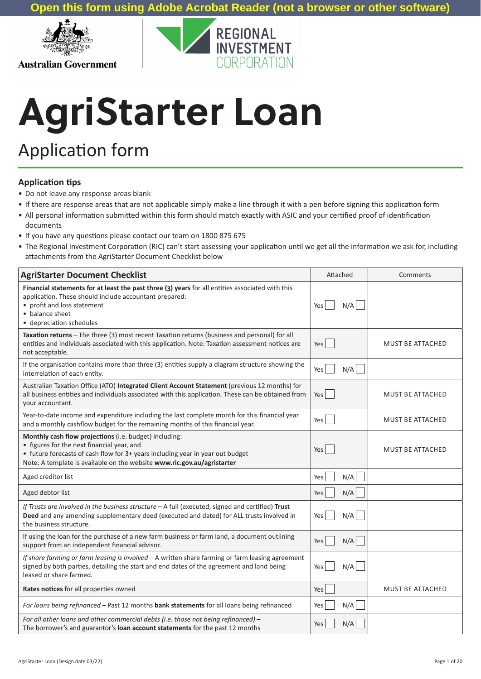

**Australian Government** 



# **AgriStarter Loan**

## Application form

#### **Application tips**

- Do not leave any response areas blank
- If there are response areas that are not applicable simply make a line through it with a pen before signing this application form
- All personal information submitted within this form should match exactly with ASIC and your certified proof of identification documents
- If you have any questions please contact our team on 1800 875 675
- The Regional Investment Corporation (RIC) can't start assessing your application until we get all the information we ask for, including attachments from the AgriStarter Document Checklist below

| <b>AgriStarter Document Checklist</b>                                                                                                                                                                                                                             | Attached   | Comments                |
|-------------------------------------------------------------------------------------------------------------------------------------------------------------------------------------------------------------------------------------------------------------------|------------|-------------------------|
| Financial statements for at least the past three (3) years for all entities associated with this<br>application. These should include accountant prepared:<br>• profit and loss statement<br>• balance sheet<br>• depreciation schedules                          | N/A<br>Yes |                         |
| Taxation returns - The three (3) most recent Taxation returns (business and personal) for all<br>entities and individuals associated with this application. Note: Taxation assessment notices are<br>not acceptable.                                              | Yes        | <b>MUST BE ATTACHED</b> |
| If the organisation contains more than three (3) entities supply a diagram structure showing the<br>interrelation of each entity.                                                                                                                                 | N/A<br>Yes |                         |
| Australian Taxation Office (ATO) Integrated Client Account Statement (previous 12 months) for<br>all business entities and individuals associated with this application. These can be obtained from<br>your accountant.                                           | Yes        | <b>MUST BE ATTACHED</b> |
| Year-to-date income and expenditure including the last complete month for this financial year<br>and a monthly cashflow budget for the remaining months of this financial year.                                                                                   | Yes        | MUST BE ATTACHED        |
| Monthly cash flow projections (i.e. budget) including:<br>• figures for the next financial year, and<br>• future forecasts of cash flow for 3+ years including year in year out budget<br>Note: A template is available on the website www.ric.gov.au/agristarter | Yes        | MUST BE ATTACHED        |
| Aged creditor list                                                                                                                                                                                                                                                | N/A<br>Yes |                         |
| Aged debtor list                                                                                                                                                                                                                                                  | N/A<br>Yes |                         |
| If Trusts are involved in the business structure $- A$ full (executed, signed and certified) Trust<br>Deed and any amending supplementary deed (executed and dated) for ALL trusts involved in<br>the business structure.                                         | N/A<br>Yes |                         |
| If using the loan for the purchase of a new farm business or farm land, a document outlining<br>support from an independent financial advisor.                                                                                                                    | N/A<br>Yes |                         |
| If share farming or farm leasing is involved - A written share farming or farm leasing agreement<br>signed by both parties, detailing the start and end dates of the agreement and land being<br>leased or share farmed.                                          | N/A<br>Yes |                         |
| Rates notices for all properties owned                                                                                                                                                                                                                            | Yes        | MUST BE ATTACHED        |
| For loans being refinanced - Past 12 months bank statements for all loans being refinanced                                                                                                                                                                        | N/A<br>Yes |                         |
| For all other loans and other commercial debts (i.e. those not being refinanced) -<br>The borrower's and guarantor's loan account statements for the past 12 months                                                                                               | N/A<br>Yes |                         |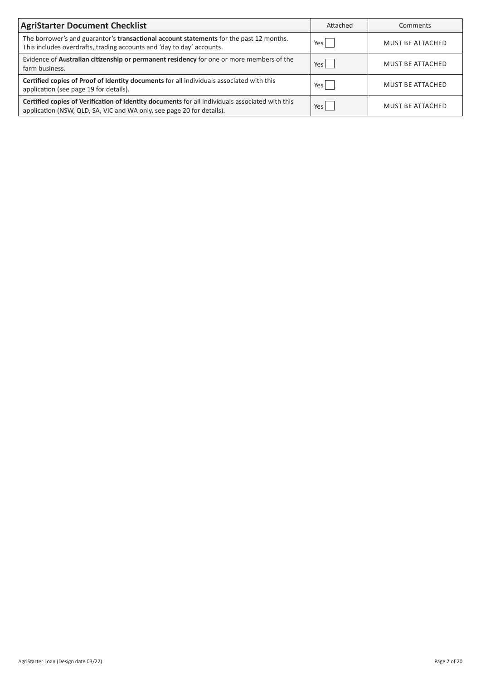| <b>AgriStarter Document Checklist</b>                                                                                                                                    | Attached   | Comments                |
|--------------------------------------------------------------------------------------------------------------------------------------------------------------------------|------------|-------------------------|
| The borrower's and guarantor's <b>transactional account statements</b> for the past 12 months.<br>This includes overdrafts, trading accounts and 'day to day' accounts.  | Yes        | <b>MUST BE ATTACHED</b> |
| Evidence of Australian citizenship or permanent residency for one or more members of the<br>farm business.                                                               | Yes        | <b>MUST BE ATTACHED</b> |
| Certified copies of Proof of Identity documents for all individuals associated with this<br>application (see page 19 for details).                                       | Yes        | <b>MUST BE ATTACHED</b> |
| Certified copies of Verification of Identity documents for all individuals associated with this<br>application (NSW, QLD, SA, VIC and WA only, see page 20 for details). | <b>Yes</b> | <b>MUST BE ATTACHED</b> |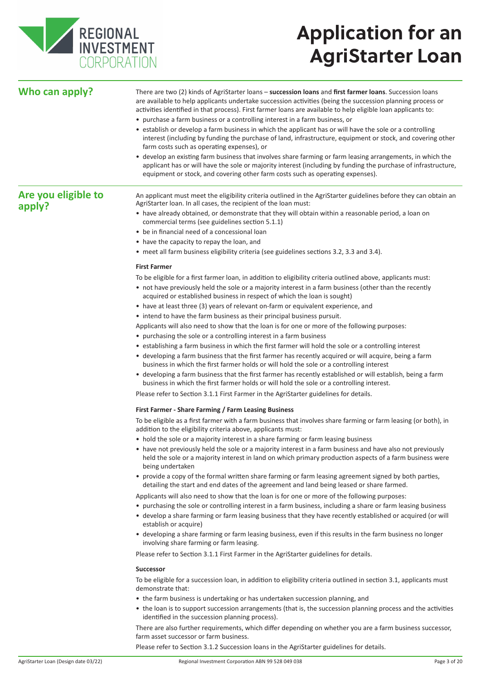

# **Application for an AgriStarter Loan**

| Who can apply?                | There are two (2) kinds of AgriStarter loans - succession loans and first farmer loans. Succession loans<br>are available to help applicants undertake succession activities (being the succession planning process or<br>activities identified in that process). First farmer loans are available to help eligible loan applicants to: |  |  |  |  |
|-------------------------------|-----------------------------------------------------------------------------------------------------------------------------------------------------------------------------------------------------------------------------------------------------------------------------------------------------------------------------------------|--|--|--|--|
|                               | • purchase a farm business or a controlling interest in a farm business, or                                                                                                                                                                                                                                                             |  |  |  |  |
|                               | • establish or develop a farm business in which the applicant has or will have the sole or a controlling<br>interest (including by funding the purchase of land, infrastructure, equipment or stock, and covering other<br>farm costs such as operating expenses), or                                                                   |  |  |  |  |
|                               | • develop an existing farm business that involves share farming or farm leasing arrangements, in which the<br>applicant has or will have the sole or majority interest (including by funding the purchase of infrastructure,<br>equipment or stock, and covering other farm costs such as operating expenses).                          |  |  |  |  |
| Are you eligible to<br>apply? | An applicant must meet the eligibility criteria outlined in the AgriStarter guidelines before they can obtain an<br>AgriStarter loan. In all cases, the recipient of the loan must:                                                                                                                                                     |  |  |  |  |
|                               | • have already obtained, or demonstrate that they will obtain within a reasonable period, a loan on<br>commercial terms (see guidelines section 5.1.1)                                                                                                                                                                                  |  |  |  |  |
|                               | • be in financial need of a concessional loan                                                                                                                                                                                                                                                                                           |  |  |  |  |
|                               | • have the capacity to repay the loan, and                                                                                                                                                                                                                                                                                              |  |  |  |  |
|                               | • meet all farm business eligibility criteria (see guidelines sections 3.2, 3.3 and 3.4).                                                                                                                                                                                                                                               |  |  |  |  |
|                               | <b>First Farmer</b>                                                                                                                                                                                                                                                                                                                     |  |  |  |  |
|                               | To be eligible for a first farmer loan, in addition to eligibility criteria outlined above, applicants must:<br>• not have previously held the sole or a majority interest in a farm business (other than the recently<br>acquired or established business in respect of which the loan is sought)                                      |  |  |  |  |
|                               | • have at least three (3) years of relevant on-farm or equivalent experience, and                                                                                                                                                                                                                                                       |  |  |  |  |
|                               | • intend to have the farm business as their principal business pursuit.                                                                                                                                                                                                                                                                 |  |  |  |  |
|                               | Applicants will also need to show that the loan is for one or more of the following purposes:                                                                                                                                                                                                                                           |  |  |  |  |
|                               | • purchasing the sole or a controlling interest in a farm business                                                                                                                                                                                                                                                                      |  |  |  |  |
|                               | • establishing a farm business in which the first farmer will hold the sole or a controlling interest                                                                                                                                                                                                                                   |  |  |  |  |
|                               | • developing a farm business that the first farmer has recently acquired or will acquire, being a farm<br>business in which the first farmer holds or will hold the sole or a controlling interest                                                                                                                                      |  |  |  |  |
|                               | • developing a farm business that the first farmer has recently established or will establish, being a farm<br>business in which the first farmer holds or will hold the sole or a controlling interest.                                                                                                                                |  |  |  |  |
|                               | Please refer to Section 3.1.1 First Farmer in the AgriStarter guidelines for details.                                                                                                                                                                                                                                                   |  |  |  |  |
|                               | First Farmer - Share Farming / Farm Leasing Business                                                                                                                                                                                                                                                                                    |  |  |  |  |
|                               | To be eligible as a first farmer with a farm business that involves share farming or farm leasing (or both), in<br>addition to the eligibility criteria above, applicants must:                                                                                                                                                         |  |  |  |  |
|                               | • hold the sole or a majority interest in a share farming or farm leasing business                                                                                                                                                                                                                                                      |  |  |  |  |
|                               | • have not previously held the sole or a majority interest in a farm business and have also not previously<br>held the sole or a majority interest in land on which primary production aspects of a farm business were<br>being undertaken                                                                                              |  |  |  |  |
|                               | • provide a copy of the formal written share farming or farm leasing agreement signed by both parties,<br>detailing the start and end dates of the agreement and land being leased or share farmed.                                                                                                                                     |  |  |  |  |
|                               | Applicants will also need to show that the loan is for one or more of the following purposes:                                                                                                                                                                                                                                           |  |  |  |  |
|                               | • purchasing the sole or controlling interest in a farm business, including a share or farm leasing business<br>• develop a share farming or farm leasing business that they have recently established or acquired (or will<br>establish or acquire)                                                                                    |  |  |  |  |
|                               | • developing a share farming or farm leasing business, even if this results in the farm business no longer<br>involving share farming or farm leasing.                                                                                                                                                                                  |  |  |  |  |
|                               | Please refer to Section 3.1.1 First Farmer in the AgriStarter guidelines for details.                                                                                                                                                                                                                                                   |  |  |  |  |
|                               | <b>Successor</b>                                                                                                                                                                                                                                                                                                                        |  |  |  |  |
|                               | To be eligible for a succession loan, in addition to eligibility criteria outlined in section 3.1, applicants must<br>demonstrate that:                                                                                                                                                                                                 |  |  |  |  |
|                               | • the farm business is undertaking or has undertaken succession planning, and                                                                                                                                                                                                                                                           |  |  |  |  |
|                               | • the loan is to support succession arrangements (that is, the succession planning process and the activities<br>identified in the succession planning process).                                                                                                                                                                        |  |  |  |  |
|                               | There are also further requirements, which differ depending on whether you are a farm business successor,<br>farm asset successor or farm business.                                                                                                                                                                                     |  |  |  |  |

Please refer to Section 3.1.2 Succession loans in the AgriStarter guidelines for details.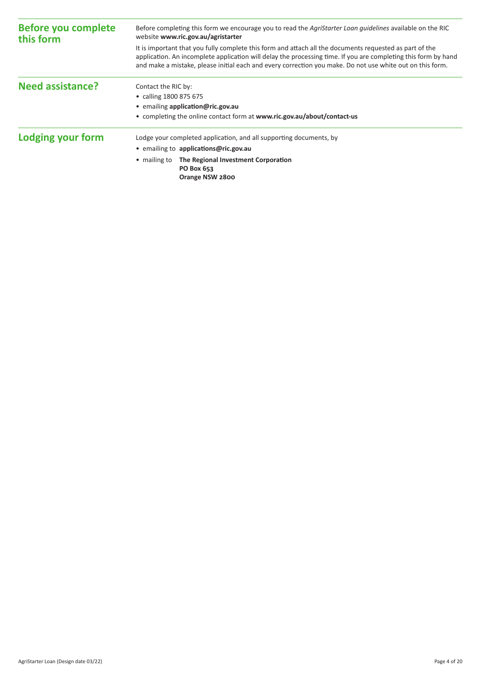| <b>Before you complete</b><br>this form | Before completing this form we encourage you to read the Agristarter Loan quidelines available on the RIC<br>website www.ric.gov.au/agristarter                                                                                                                                                                                        |  |  |  |
|-----------------------------------------|----------------------------------------------------------------------------------------------------------------------------------------------------------------------------------------------------------------------------------------------------------------------------------------------------------------------------------------|--|--|--|
|                                         | It is important that you fully complete this form and attach all the documents requested as part of the<br>application. An incomplete application will delay the processing time. If you are completing this form by hand<br>and make a mistake, please initial each and every correction you make. Do not use white out on this form. |  |  |  |
| <b>Need assistance?</b>                 | Contact the RIC by:                                                                                                                                                                                                                                                                                                                    |  |  |  |
|                                         | • calling 1800 875 675                                                                                                                                                                                                                                                                                                                 |  |  |  |
|                                         | • emailing application@ric.gov.au                                                                                                                                                                                                                                                                                                      |  |  |  |
|                                         | • completing the online contact form at www.ric.gov.au/about/contact-us                                                                                                                                                                                                                                                                |  |  |  |
| Lodging your form                       | Lodge your completed application, and all supporting documents, by                                                                                                                                                                                                                                                                     |  |  |  |
|                                         | • emailing to applications@ric.gov.au                                                                                                                                                                                                                                                                                                  |  |  |  |
|                                         | • mailing to The Regional Investment Corporation<br>PO Box 653<br>Orange NSW 2800                                                                                                                                                                                                                                                      |  |  |  |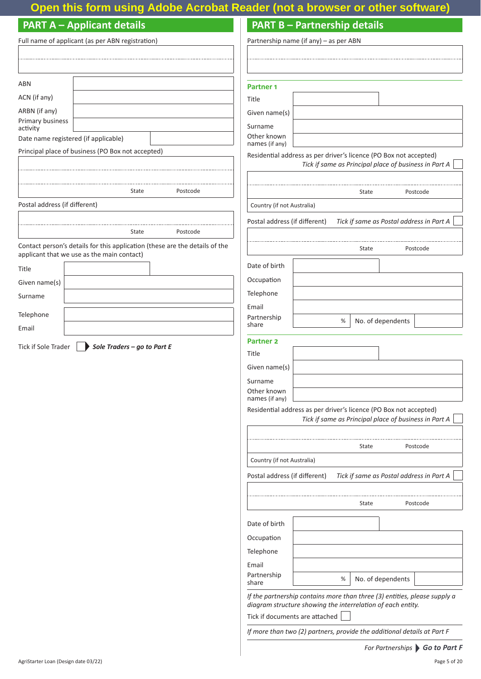## **Open this form using Adobe Acrobat Reader (not a browser or other software)**

### **PART A – Applicant details**

## **PART B – Partnership details**

|                                      | Full name of applicant (as per ABN registration)  |                                                                             | Partnership name (if any) - as per ABN                                  |  |                                                                           |                   |          |
|--------------------------------------|---------------------------------------------------|-----------------------------------------------------------------------------|-------------------------------------------------------------------------|--|---------------------------------------------------------------------------|-------------------|----------|
|                                      |                                                   |                                                                             |                                                                         |  |                                                                           |                   |          |
|                                      |                                                   |                                                                             |                                                                         |  |                                                                           |                   |          |
| <b>ABN</b>                           |                                                   |                                                                             | Partner <sub>1</sub>                                                    |  |                                                                           |                   |          |
| ACN (if any)                         |                                                   |                                                                             | Title                                                                   |  |                                                                           |                   |          |
| ARBN (if any)                        |                                                   |                                                                             | Given name(s)                                                           |  |                                                                           |                   |          |
| Primary business<br>activity         |                                                   |                                                                             | Surname                                                                 |  |                                                                           |                   |          |
| Date name registered (if applicable) |                                                   |                                                                             | Other known                                                             |  |                                                                           |                   |          |
|                                      | Principal place of business (PO Box not accepted) |                                                                             | names (if any)                                                          |  | Residential address as per driver's licence (PO Box not accepted)         |                   |          |
|                                      |                                                   |                                                                             |                                                                         |  | Tick if same as Principal place of business in Part A                     |                   |          |
|                                      |                                                   |                                                                             |                                                                         |  |                                                                           |                   |          |
|                                      | State                                             | Postcode                                                                    |                                                                         |  | State                                                                     |                   | Postcode |
| Postal address (if different)        |                                                   |                                                                             | Country (if not Australia)                                              |  |                                                                           |                   |          |
|                                      |                                                   |                                                                             | Postal address (if different)                                           |  | Tick if same as Postal address in Part A                                  |                   |          |
|                                      | State                                             | Postcode                                                                    |                                                                         |  |                                                                           |                   |          |
|                                      | applicant that we use as the main contact)        | Contact person's details for this application (these are the details of the |                                                                         |  | State                                                                     |                   | Postcode |
| Title                                |                                                   |                                                                             | Date of birth                                                           |  |                                                                           |                   |          |
| Given name(s)                        |                                                   |                                                                             | Occupation                                                              |  |                                                                           |                   |          |
| Surname                              |                                                   |                                                                             | Telephone                                                               |  |                                                                           |                   |          |
|                                      |                                                   |                                                                             | Email                                                                   |  |                                                                           |                   |          |
| Telephone                            |                                                   |                                                                             | Partnership<br>share                                                    |  | $\%$                                                                      | No. of dependents |          |
| Email                                |                                                   |                                                                             | <b>Partner 2</b>                                                        |  |                                                                           |                   |          |
| Tick if Sole Trader                  | Sole Traders - go to Part E                       |                                                                             | Title                                                                   |  |                                                                           |                   |          |
|                                      |                                                   |                                                                             | Given name(s)                                                           |  |                                                                           |                   |          |
|                                      |                                                   |                                                                             | Surname                                                                 |  |                                                                           |                   |          |
|                                      |                                                   |                                                                             | Other known<br>names (if any)                                           |  |                                                                           |                   |          |
|                                      |                                                   |                                                                             |                                                                         |  | Residential address as per driver's licence (PO Box not accepted)         |                   |          |
|                                      |                                                   |                                                                             |                                                                         |  | Tick if same as Principal place of business in Part A                     |                   |          |
|                                      |                                                   |                                                                             |                                                                         |  |                                                                           |                   |          |
|                                      |                                                   |                                                                             |                                                                         |  | State                                                                     |                   | Postcode |
|                                      |                                                   |                                                                             | Country (if not Australia)                                              |  |                                                                           |                   |          |
|                                      |                                                   |                                                                             | Postal address (if different)                                           |  | Tick if same as Postal address in Part A                                  |                   |          |
|                                      |                                                   |                                                                             |                                                                         |  |                                                                           |                   |          |
|                                      |                                                   |                                                                             |                                                                         |  | State                                                                     |                   | Postcode |
|                                      |                                                   |                                                                             | Date of birth                                                           |  |                                                                           |                   |          |
|                                      |                                                   |                                                                             | Occupation                                                              |  |                                                                           |                   |          |
|                                      |                                                   |                                                                             | Telephone                                                               |  |                                                                           |                   |          |
|                                      |                                                   |                                                                             | Email                                                                   |  |                                                                           |                   |          |
|                                      |                                                   |                                                                             | Partnership<br>share                                                    |  | %                                                                         | No. of dependents |          |
|                                      |                                                   |                                                                             |                                                                         |  | If the partnership contains more than three (3) entities, please supply a |                   |          |
|                                      |                                                   |                                                                             | Tick if documents are attached                                          |  | diagram structure showing the interrelation of each entity.               |                   |          |
|                                      |                                                   |                                                                             | If more than two (2) partners, provide the additional details at Part F |  |                                                                           |                   |          |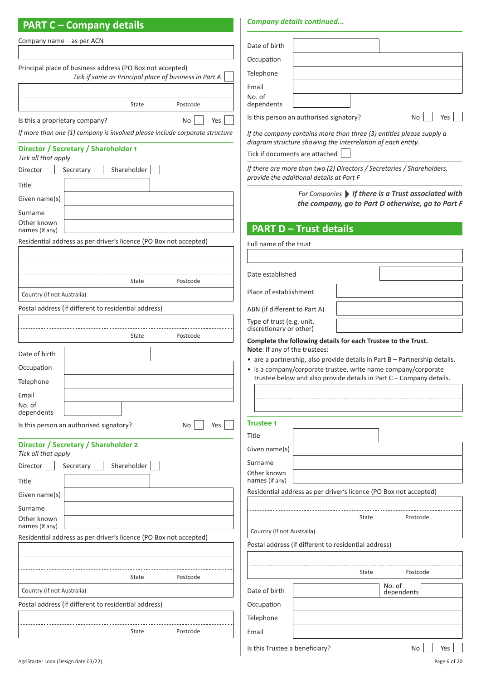### **PART C – Company details**

#### *Company details continued...*

| Company name – as per ACN                                                           |                                                                                                                                              |
|-------------------------------------------------------------------------------------|----------------------------------------------------------------------------------------------------------------------------------------------|
|                                                                                     | Date of birth                                                                                                                                |
| Principal place of business address (PO Box not accepted)                           | Occupation                                                                                                                                   |
| Tick if same as Principal place of business in Part A                               | Telephone                                                                                                                                    |
|                                                                                     | Email<br>No. of                                                                                                                              |
| State<br>Postcode                                                                   | dependents                                                                                                                                   |
| Is this a proprietary company?<br>No<br>Yes                                         | Is this person an authorised signatory?<br>No<br>Yes                                                                                         |
| If more than one (1) company is involved please include corporate structure         | If the company contains more than three (3) entities please supply a                                                                         |
| Director / Secretary / Shareholder 1<br>Tick all that apply                         | diagram structure showing the interrelation of each entity.<br>Tick if documents are attached                                                |
| Secretary<br>Shareholder<br>Director                                                | If there are more than two (2) Directors / Secretaries / Shareholders,<br>provide the additional details at Part F                           |
| Title                                                                               |                                                                                                                                              |
| Given name(s)                                                                       | For Companies   If there is a Trust associated with<br>the company, go to Part D otherwise, go to Part F                                     |
| Surname                                                                             |                                                                                                                                              |
| Other known<br>names (if any)                                                       | <b>PART D - Trust details</b>                                                                                                                |
| Residential address as per driver's licence (PO Box not accepted)                   | Full name of the trust                                                                                                                       |
|                                                                                     |                                                                                                                                              |
|                                                                                     | Date established                                                                                                                             |
| State<br>Postcode                                                                   |                                                                                                                                              |
| Country (if not Australia)                                                          | Place of establishment                                                                                                                       |
| Postal address (if different to residential address)                                | ABN (if different to Part A)                                                                                                                 |
|                                                                                     | Type of trust (e.g. unit,<br>discretionary or other)                                                                                         |
| Postcode<br>State                                                                   | Complete the following details for each Trustee to the Trust.                                                                                |
| Date of birth                                                                       | Note: If any of the trustees:                                                                                                                |
| Occupation                                                                          | • are a partnership, also provide details in Part B - Partnership details.<br>• is a company/corporate trustee, write name company/corporate |
| Telephone                                                                           | trustee below and also provide details in Part C - Company details.                                                                          |
| Email                                                                               |                                                                                                                                              |
| No. of                                                                              |                                                                                                                                              |
| dependents                                                                          | <b>Trustee 1</b>                                                                                                                             |
| Is this person an authorised signatory?<br>Yes<br>No                                | Title                                                                                                                                        |
| Director / Secretary / Shareholder 2<br>Tick all that apply                         | Given name(s)                                                                                                                                |
| Shareholder<br>Director<br>Secretary                                                | Surname                                                                                                                                      |
| Title                                                                               | Other known<br>names (if any)                                                                                                                |
| Given name(s)                                                                       | Residential address as per driver's licence (PO Box not accepted)                                                                            |
| Surname                                                                             |                                                                                                                                              |
| Other known                                                                         | State<br>Postcode                                                                                                                            |
| names (if any)<br>Residential address as per driver's licence (PO Box not accepted) | Country (if not Australia)                                                                                                                   |
|                                                                                     | Postal address (if different to residential address)                                                                                         |
|                                                                                     |                                                                                                                                              |
| State<br>Postcode                                                                   | Postcode<br>State                                                                                                                            |
| Country (if not Australia)                                                          | No. of<br>Date of birth<br>dependents                                                                                                        |
| Postal address (if different to residential address)                                | Occupation                                                                                                                                   |
|                                                                                     | Telephone                                                                                                                                    |
| Postcode<br>State                                                                   | Email                                                                                                                                        |
|                                                                                     |                                                                                                                                              |
|                                                                                     | Is this Trustee a beneficiary?<br>No<br>Yes                                                                                                  |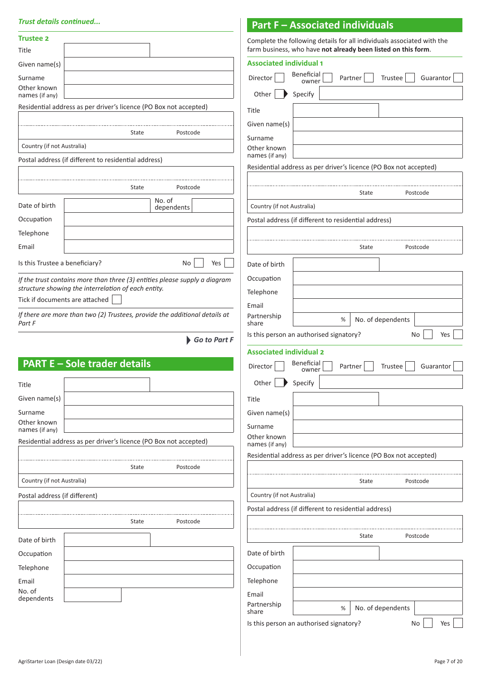#### *Trust details continued...*

| <b>Trust details continued</b>                                                       |              |                                | <b>Part F - Associated individuals</b>                            |                                                                        |
|--------------------------------------------------------------------------------------|--------------|--------------------------------|-------------------------------------------------------------------|------------------------------------------------------------------------|
| <b>Trustee 2</b>                                                                     |              |                                |                                                                   | Complete the following details for all individuals associated with the |
| Title                                                                                |              |                                | farm business, who have not already been listed on this form.     |                                                                        |
| Given name(s)                                                                        |              | <b>Associated individual 1</b> |                                                                   |                                                                        |
| Surname                                                                              |              | Director                       | <b>Beneficial</b><br>Partner<br>owner                             | Trustee<br>Guarantor                                                   |
| Other known<br>names (if any)                                                        |              | Other                          | Specify                                                           |                                                                        |
| Residential address as per driver's licence (PO Box not accepted)                    |              | Title                          |                                                                   |                                                                        |
|                                                                                      |              | Given name(s)                  |                                                                   |                                                                        |
| State                                                                                | Postcode     | Surname                        |                                                                   |                                                                        |
| Country (if not Australia)                                                           |              | Other known                    |                                                                   |                                                                        |
| Postal address (if different to residential address)                                 |              | names (if any)                 | Residential address as per driver's licence (PO Box not accepted) |                                                                        |
|                                                                                      |              |                                |                                                                   |                                                                        |
| State                                                                                | Postcode     |                                | State                                                             | Postcode                                                               |
| No. of<br>Date of birth<br>dependents                                                |              | Country (if not Australia)     |                                                                   |                                                                        |
| Occupation                                                                           |              |                                | Postal address (if different to residential address)              |                                                                        |
| Telephone                                                                            |              |                                |                                                                   |                                                                        |
| Email                                                                                |              |                                | State                                                             | Postcode                                                               |
| Is this Trustee a beneficiary?                                                       | No<br>Yes    | Date of birth                  |                                                                   |                                                                        |
| If the trust contains more than three (3) entities please supply a diagram           |              | Occupation                     |                                                                   |                                                                        |
| structure showing the interrelation of each entity.                                  |              | Telephone                      |                                                                   |                                                                        |
| Tick if documents are attached                                                       |              | Email                          |                                                                   |                                                                        |
| If there are more than two (2) Trustees, provide the additional details at<br>Part F |              | Partnership<br>share           | %                                                                 | No. of dependents                                                      |
|                                                                                      | Go to Part F |                                | Is this person an authorised signatory?                           | No<br>Yes                                                              |
|                                                                                      |              | <b>Associated individual 2</b> |                                                                   |                                                                        |
| <b>PART E - Sole trader details</b>                                                  |              | Director                       | <b>Beneficial</b><br>Partner                                      | <b>Trustee</b><br>Guarantor                                            |
|                                                                                      |              | Other $\blacktriangleright$    | owner<br>Specify                                                  |                                                                        |
| Title                                                                                |              |                                |                                                                   |                                                                        |
| Given name(s)                                                                        |              | Title                          |                                                                   |                                                                        |
| Surname<br>Other known                                                               |              | Given name(s)                  |                                                                   |                                                                        |
| names (if any)                                                                       |              | Surname<br>Other known         |                                                                   |                                                                        |
| Residential address as per driver's licence (PO Box not accepted)                    |              | names (if any)                 |                                                                   |                                                                        |
|                                                                                      |              |                                | Residential address as per driver's licence (PO Box not accepted) |                                                                        |
| State                                                                                | Postcode     |                                |                                                                   |                                                                        |
| Country (if not Australia)                                                           |              |                                | State                                                             | Postcode                                                               |
| Postal address (if different)                                                        |              | Country (if not Australia)     |                                                                   |                                                                        |
| State                                                                                | Postcode     |                                | Postal address (if different to residential address)              |                                                                        |
|                                                                                      |              |                                |                                                                   |                                                                        |
| Date of birth                                                                        |              |                                | State                                                             | Postcode                                                               |
| Occupation                                                                           |              | Date of birth                  |                                                                   |                                                                        |
| Telephone                                                                            |              | Occupation                     |                                                                   |                                                                        |
| Email<br>No. of                                                                      |              | Telephone                      |                                                                   |                                                                        |
| dependents                                                                           |              | Email<br>Partnership           |                                                                   |                                                                        |
|                                                                                      |              | share                          | %                                                                 | No. of dependents                                                      |
|                                                                                      |              |                                | Is this person an authorised signatory?                           | No<br>Yes                                                              |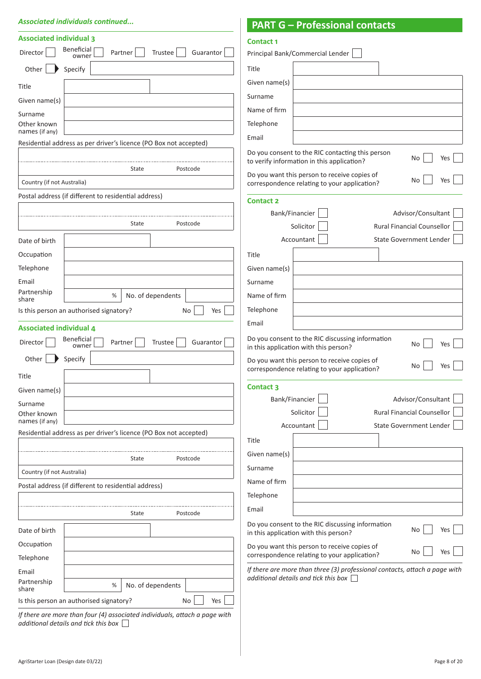#### *Associated individuals continued...*

#### **PART G – Professional contacts**

| <b>Associated individual 3</b>                                                      | <b>Contact 1</b>                                                                                                   |
|-------------------------------------------------------------------------------------|--------------------------------------------------------------------------------------------------------------------|
| Beneficial<br>Partner<br>Trustee<br>Guarantor<br>Director<br>owner                  | Principal Bank/Commercial Lender                                                                                   |
| Other<br>Specify                                                                    | Title                                                                                                              |
| Title                                                                               | Given name(s)                                                                                                      |
| Given name(s)                                                                       | Surname                                                                                                            |
| Surname                                                                             | Name of firm                                                                                                       |
| Other known                                                                         | Telephone                                                                                                          |
| names (if any)<br>Residential address as per driver's licence (PO Box not accepted) | Email                                                                                                              |
|                                                                                     | Do you consent to the RIC contacting this person<br>Yes<br>No                                                      |
| State<br>Postcode                                                                   | to verify information in this application?                                                                         |
| Country (if not Australia)                                                          | Do you want this person to receive copies of<br>No<br>Yes<br>correspondence relating to your application?          |
| Postal address (if different to residential address)                                | <b>Contact 2</b>                                                                                                   |
|                                                                                     | Advisor/Consultant<br>Bank/Financier                                                                               |
| Postcode<br>State                                                                   | <b>Rural Financial Counsellor</b><br>Solicitor                                                                     |
| Date of birth                                                                       | <b>State Government Lender</b><br>Accountant                                                                       |
| Occupation                                                                          | Title                                                                                                              |
| Telephone                                                                           | Given name(s)                                                                                                      |
| Email                                                                               | Surname                                                                                                            |
| Partnership<br>No. of dependents<br>%                                               | Name of firm                                                                                                       |
| share<br>Yes<br>Is this person an authorised signatory?<br>No                       | Telephone                                                                                                          |
|                                                                                     | Email                                                                                                              |
| <b>Associated individual 4</b><br>Beneficial                                        | Do you consent to the RIC discussing information                                                                   |
| Trustee<br>Guarantor<br>Director<br>Partner<br>owner                                | No<br>Yes<br>in this application with this person?                                                                 |
| Other<br>Specify                                                                    | Do you want this person to receive copies of<br>No<br>Yes                                                          |
| Title                                                                               | correspondence relating to your application?                                                                       |
| Given name(s)                                                                       | <b>Contact 3</b>                                                                                                   |
| Surname                                                                             | Advisor/Consultant<br>Bank/Financier                                                                               |
| Other known<br>names (if any)                                                       | Solicitor<br>Rural Financial Counsellor                                                                            |
| Residential address as per driver's licence (PO Box not accepted)                   | <b>State Government Lender</b><br>Accountant                                                                       |
|                                                                                     | Title                                                                                                              |
| Postcode<br>State                                                                   | Given name(s)                                                                                                      |
| Country (if not Australia)                                                          | Surname                                                                                                            |
| Postal address (if different to residential address)                                | Name of firm                                                                                                       |
|                                                                                     | Telephone                                                                                                          |
| State<br>Postcode                                                                   | Email                                                                                                              |
| Date of birth                                                                       | Do you consent to the RIC discussing information<br>No<br>Yes<br>in this application with this person?             |
| Occupation                                                                          | Do you want this person to receive copies of<br>No<br>Yes                                                          |
| Telephone                                                                           | correspondence relating to your application?                                                                       |
| Email<br>Partnership                                                                | If there are more than three (3) professional contacts, attach a page with<br>additional details and tick this box |
| No. of dependents<br>%<br>share                                                     |                                                                                                                    |
| Is this person an authorised signatory?<br>Yes<br>No                                |                                                                                                                    |
|                                                                                     |                                                                                                                    |

*If there are more than four (4) associated individuals, attach a page with additional details and tick this box*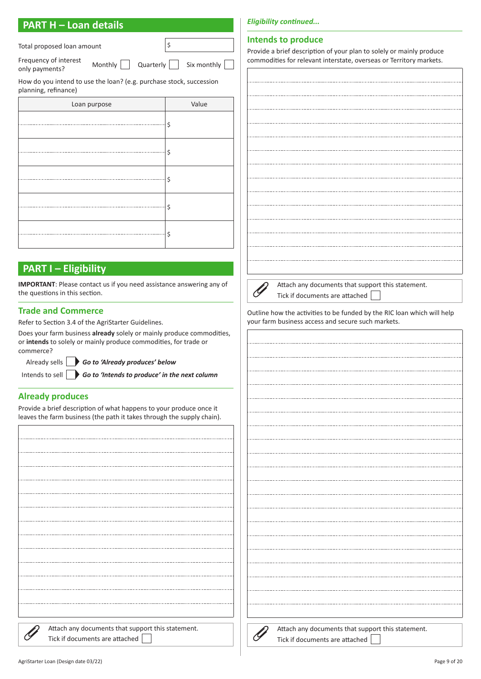Total proposed loan amount states of the state of  $\frac{1}{2}$ \$

Frequency of interest Frequency of interest  $\Box$   $\Box$  Quarterly  $\Box$  Six monthly  $\Box$ 

How do you intend to use the loan? (e.g. purchase stock, succession

| planning, refinance) |       |
|----------------------|-------|
| Loan purpose         | Value |
|                      | \$    |
|                      | \$    |
|                      | \$    |
|                      | \$    |
|                      | \$    |

#### **PART I – Eligibility**

**IMPORTANT**: Please contact us if you need assistance answering any of the questions in this section.

#### **Trade and Commerce**

Refer to Section 3.4 of the AgriStarter Guidelines.

Does your farm business **already** solely or mainly produce commodities, or **intends** to solely or mainly produce commodities, for trade or commerce?

Already sells *Go to 'Already produces' below*

Intends to sell *Go to 'Intends to produce' in the next column*

#### **Already produces**

Provide a brief description of what happens to your produce once it leaves the farm business (the path it takes through the supply chain).

| Attach any documents that support this statement. |
|---------------------------------------------------|
| Tick if documents are attached                    |

#### **Intends to produce**

Provide a brief description of your plan to solely or mainly produce commodities for relevant interstate, overseas or Territory markets.



Attach any documents that support this statement. Tick if documents are attached

Outline how the activities to be funded by the RIC loan which will help your farm business access and secure such markets.

| Attach any documents that support this statement.<br>Tick if documents are attached |
|-------------------------------------------------------------------------------------|
|                                                                                     |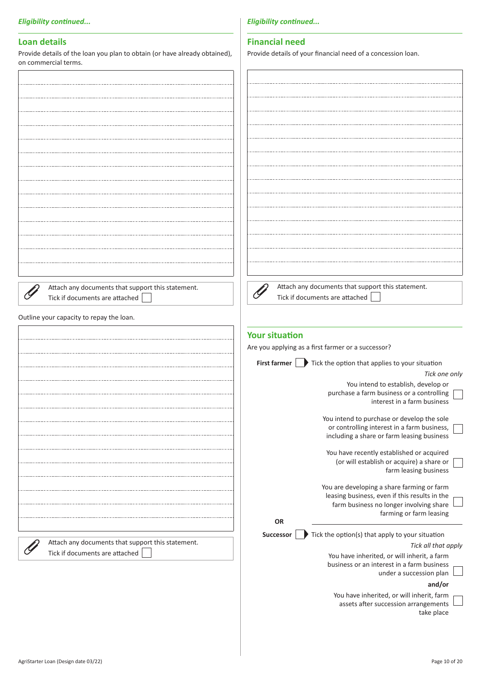#### **Loan details**

Provide details of the loan you plan to obtain (or have already obtained), on commercial terms.

*Eligibility continued...*

#### **Financial need**

Provide details of your financial need of a concession loan.

| <b>UIL COMMITATION LETTIS.</b>                    |                                                                    |
|---------------------------------------------------|--------------------------------------------------------------------|
|                                                   |                                                                    |
|                                                   |                                                                    |
|                                                   |                                                                    |
|                                                   |                                                                    |
|                                                   |                                                                    |
|                                                   |                                                                    |
|                                                   |                                                                    |
|                                                   |                                                                    |
|                                                   |                                                                    |
|                                                   |                                                                    |
|                                                   |                                                                    |
|                                                   |                                                                    |
|                                                   |                                                                    |
|                                                   |                                                                    |
|                                                   |                                                                    |
|                                                   |                                                                    |
|                                                   |                                                                    |
|                                                   |                                                                    |
|                                                   |                                                                    |
|                                                   |                                                                    |
|                                                   |                                                                    |
| Attach any documents that support this statement. | Attach any documents that support this statement.                  |
| Tick if documents are attached                    | Tick if documents are attached                                     |
|                                                   |                                                                    |
| Outline your capacity to repay the loan.          |                                                                    |
|                                                   |                                                                    |
|                                                   | <b>Your situation</b>                                              |
|                                                   | Are you applying as a first farmer or a successor?                 |
|                                                   |                                                                    |
|                                                   | First farmer $\Box$ Tick the option that applies to your situation |
|                                                   | Tick one only                                                      |
|                                                   | You intend to establish, develop or                                |
|                                                   | purchase a farm business or a controlling                          |
|                                                   | interest in a farm business                                        |
|                                                   | You intend to purchase or develop the sole                         |
|                                                   | or controlling interest in a farm business,                        |
|                                                   | including a share or farm leasing business                         |
|                                                   |                                                                    |
|                                                   | You have recently established or acquired                          |
|                                                   | (or will establish or acquire) a share or<br>farm leasing business |
|                                                   |                                                                    |
|                                                   | You are developing a share farming or farm                         |
|                                                   | leasing business, even if this results in the                      |
|                                                   | farm business no longer involving share                            |
|                                                   | farming or farm leasing                                            |
|                                                   | OR                                                                 |
|                                                   | Tick the option(s) that apply to your situation<br>Successor       |
| Attach any documents that support this statement. | Tick all that apply                                                |
| Tick if documents are attached                    | You have inherited, or will inherit, a farm                        |
|                                                   | business or an interest in a farm business                         |
|                                                   | under a succession plan                                            |
|                                                   | and/or                                                             |
|                                                   | You have inherited, or will inherit, farm                          |
|                                                   | assets after succession arrangements                               |
|                                                   | take place                                                         |
|                                                   |                                                                    |
|                                                   |                                                                    |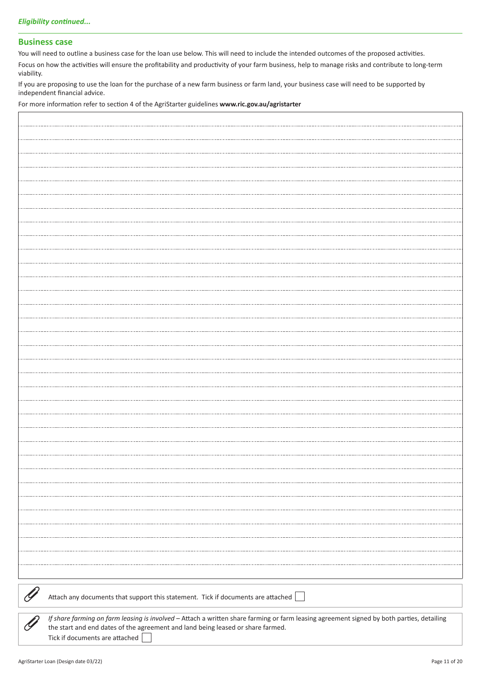#### **Business case**

You will need to outline a business case for the loan use below. This will need to include the intended outcomes of the proposed activities.

Focus on how the activities will ensure the profitability and productivity of your farm business, help to manage risks and contribute to long-term viability.

If you are proposing to use the loan for the purchase of a new farm business or farm land, your business case will need to be supported by independent financial advice.

For more information refer to section 4 of the AgriStarter guidelines **www.ric.gov.au/agristarter**

| Attach any documents that support this statement. Tick if documents are attached                                                          |
|-------------------------------------------------------------------------------------------------------------------------------------------|
|                                                                                                                                           |
| If share farming on farm leasing is involved - Attach a written share farming or farm leasing agreement signed by both parties, detailing |
| the start and end dates of the agreement and land being leased or share farmed.                                                           |
| Tick if documents are attached                                                                                                            |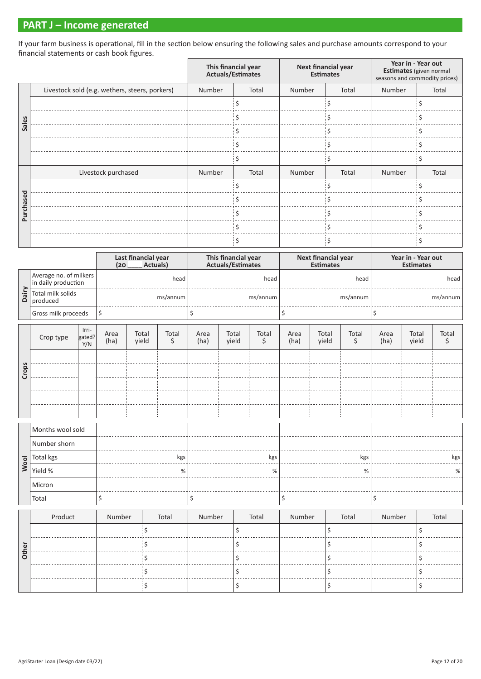#### **PART J – Income generated**

If your farm business is operational, fill in the section below ensuring the following sales and purchase amounts correspond to your financial statements or cash book figures.

|                              |                                                | This financial year<br>Actuals/Estimates |       | Next financial year<br><b>Estimates</b> |       | Year in - Year out<br>Estimates (given normal<br>seasons and commodity prices) |       |
|------------------------------|------------------------------------------------|------------------------------------------|-------|-----------------------------------------|-------|--------------------------------------------------------------------------------|-------|
|                              | Livestock sold (e.g. wethers, steers, porkers) | Number                                   | Total | Number                                  | Total | Number                                                                         | Total |
|                              |                                                |                                          |       |                                         |       |                                                                                |       |
| $\mathbf{a}$<br>$\mathbf{a}$ |                                                |                                          |       |                                         |       |                                                                                |       |
| $\sigma$<br>S                |                                                |                                          |       |                                         |       |                                                                                |       |
|                              |                                                |                                          |       |                                         |       |                                                                                |       |
|                              |                                                |                                          |       |                                         |       |                                                                                |       |
|                              | Livestock purchased                            | Number                                   | Total | Number                                  | Total | Number                                                                         | Total |
| ᅙ                            |                                                |                                          |       |                                         |       |                                                                                |       |
|                              |                                                |                                          |       |                                         |       |                                                                                |       |
| $\mathbf{C}$                 |                                                |                                          |       |                                         |       |                                                                                |       |
|                              |                                                |                                          |       |                                         |       |                                                                                |       |
|                              |                                                |                                          |       |                                         |       |                                                                                |       |

|             |                                               |                        | (20)         | Last financial year<br>Actuals) |             |              | This financial year<br>Actuals/Estimates |             |              | Next financial year<br><b>Estimates</b> |             |              | Year in - Year out<br><b>Estimates</b> |             |
|-------------|-----------------------------------------------|------------------------|--------------|---------------------------------|-------------|--------------|------------------------------------------|-------------|--------------|-----------------------------------------|-------------|--------------|----------------------------------------|-------------|
|             | Average no. of milkers<br>in daily production |                        |              |                                 | head        |              |                                          | head        |              |                                         | head        |              |                                        | head        |
| Dairy       | Total milk solids<br>produced                 |                        |              |                                 | ms/annum    |              |                                          | ms/annum    |              |                                         | ms/annum    |              |                                        | ms/annum    |
|             | Gross milk proceeds                           |                        | \$           |                                 |             | \$           |                                          |             | \$           |                                         |             | \$           |                                        |             |
|             | Crop type                                     | Irri-<br>gated?<br>Y/N | Area<br>(ha) | Total<br>yield                  | Total<br>\$ | Area<br>(ha) | Total<br>yield                           | Total<br>\$ | Area<br>(ha) | Total<br>yield                          | Total<br>\$ | Area<br>(ha) | Total<br>yield                         | Total<br>\$ |
| Crops       |                                               |                        |              |                                 |             |              |                                          |             |              |                                         |             |              |                                        |             |
|             |                                               |                        |              |                                 |             |              |                                          |             |              |                                         |             |              |                                        |             |
|             | Months wool sold                              |                        |              |                                 |             |              |                                          |             |              |                                         |             |              |                                        |             |
|             | Number shorn                                  |                        |              |                                 |             |              |                                          |             |              |                                         |             |              |                                        |             |
| <b>Wool</b> | Total kgs                                     |                        |              |                                 | kgs         |              |                                          | kgs         |              |                                         | kgs         |              |                                        | kgs         |
|             | Yield %                                       |                        |              |                                 | %           |              |                                          | %           |              |                                         | $\%$        |              |                                        | %           |
|             | Micron                                        |                        |              |                                 |             |              |                                          |             |              |                                         |             |              |                                        |             |
|             | Total                                         |                        | \$           |                                 |             | \$           |                                          |             | \$           |                                         |             | \$           |                                        |             |
|             | Product                                       |                        | Number       |                                 | Total       | Number       |                                          | Total       | Number       |                                         | Total       | Number       |                                        | Total       |
|             |                                               |                        |              | \$                              |             |              | \$                                       |             |              | \$                                      |             |              | \$                                     |             |
| Other       |                                               |                        |              | \$                              |             |              | \$                                       |             |              | \$                                      |             |              | \$                                     |             |
|             |                                               |                        |              | Ś.                              |             |              | Ś                                        |             |              | \$                                      |             |              | \$                                     |             |
|             |                                               |                        |              | \$                              |             |              | \$                                       |             |              | \$                                      |             |              | \$                                     |             |
|             |                                               |                        |              | \$                              |             |              | \$                                       |             |              | \$                                      |             |              | \$                                     |             |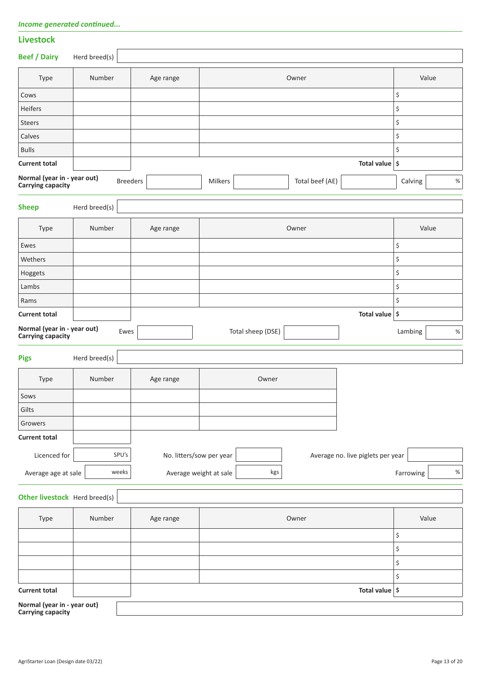|  | Income generated continued |  |  |
|--|----------------------------|--|--|
|--|----------------------------|--|--|

| <b>Livestock</b>                                        |               |                          |         |                   |                 |                                   |           |       |
|---------------------------------------------------------|---------------|--------------------------|---------|-------------------|-----------------|-----------------------------------|-----------|-------|
| <b>Beef / Dairy</b>                                     | Herd breed(s) |                          |         |                   |                 |                                   |           |       |
| Type                                                    | Number        | Age range                |         |                   | Owner           |                                   |           | Value |
| Cows                                                    |               |                          |         |                   |                 |                                   | \$        |       |
| Heifers                                                 |               |                          |         |                   |                 |                                   | \$        |       |
| Steers                                                  |               |                          |         |                   |                 |                                   | \$        |       |
| Calves                                                  |               |                          |         |                   |                 |                                   | \$        |       |
| <b>Bulls</b>                                            |               |                          |         |                   |                 |                                   | \$        |       |
| <b>Current total</b>                                    |               |                          |         |                   |                 | Total value $\frac{1}{5}$         |           |       |
| Normal (year in - year out)<br><b>Carrying capacity</b> |               | <b>Breeders</b>          | Milkers |                   | Total beef (AE) |                                   | Calving   | $\%$  |
| <b>Sheep</b>                                            | Herd breed(s) |                          |         |                   |                 |                                   |           |       |
| Type                                                    | Number        | Age range                |         |                   | Owner           |                                   |           | Value |
| Ewes                                                    |               |                          |         |                   |                 |                                   | \$        |       |
| Wethers                                                 |               |                          |         |                   |                 |                                   | \$        |       |
| Hoggets                                                 |               |                          |         |                   |                 |                                   | \$        |       |
| Lambs                                                   |               |                          |         |                   |                 |                                   | \$        |       |
| Rams                                                    |               |                          |         |                   |                 |                                   | \$        |       |
| <b>Current total</b>                                    |               |                          |         |                   |                 | Total value $\frac{1}{5}$         |           |       |
| Normal (year in - year out)<br><b>Carrying capacity</b> | Ewes          |                          |         | Total sheep (DSE) |                 |                                   | Lambing   | $\%$  |
| <b>Pigs</b>                                             | Herd breed(s) |                          |         |                   |                 |                                   |           |       |
| Type                                                    | Number        | Age range                |         | Owner             |                 |                                   |           |       |
| Sows                                                    |               |                          |         |                   |                 |                                   |           |       |
| Gilts                                                   |               |                          |         |                   |                 |                                   |           |       |
| Growers                                                 |               |                          |         |                   |                 |                                   |           |       |
| <b>Current total</b>                                    |               |                          |         |                   |                 |                                   |           |       |
| Licenced for                                            | SPU's         | No. litters/sow per year |         |                   |                 | Average no. live piglets per year |           |       |
| Average age at sale                                     | weeks         | Average weight at sale   |         | kgs               |                 |                                   | Farrowing | $\%$  |
| Other livestock Herd breed(s)                           |               |                          |         |                   |                 |                                   |           |       |
| Type                                                    | Number        | Age range                |         |                   | Owner           |                                   |           | Value |
|                                                         |               |                          |         |                   |                 |                                   | \$        |       |
|                                                         |               |                          |         |                   |                 |                                   | \$        |       |
|                                                         |               |                          |         |                   |                 |                                   | \$        |       |

**Current total Total value \$ Normal (year in - year out)**

**Carrying capacity**

 $\boldsymbol{\mathsf{S}}$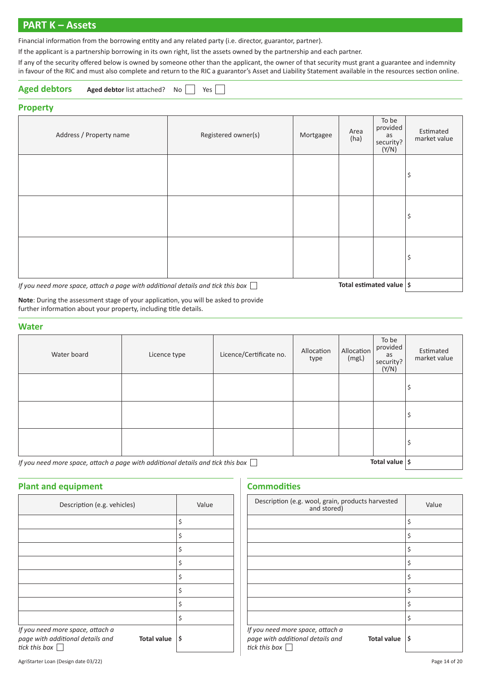#### **PART K – Assets**

Financial information from the borrowing entity and any related party (i.e. director, guarantor, partner).

If the applicant is a partnership borrowing in its own right, list the assets owned by the partnership and each partner.

If any of the security offered below is owned by someone other than the applicant, the owner of that security must grant a guarantee and indemnity in favour of the RIC and must also complete and return to the RIC a guarantor's Asset and Liability Statement available in the resources section online.

| Aged debtors Aged debtor list attached? No Yes |
|------------------------------------------------|
|------------------------------------------------|

#### **Property**

| Address / Property name                                                                                                     | Registered owner(s) | Mortgagee | Area<br>(ha) | To be<br>provided<br>as<br>security?<br>(Y/N) | Estimated<br>market value |
|-----------------------------------------------------------------------------------------------------------------------------|---------------------|-----------|--------------|-----------------------------------------------|---------------------------|
|                                                                                                                             |                     |           |              |                                               | \$                        |
|                                                                                                                             |                     |           |              |                                               | \$                        |
|                                                                                                                             |                     |           |              |                                               | \$                        |
| Total estimated value $ \hat{s} $<br>If you need more space, attach a page with additional details and tick this box $\Box$ |                     |           |              |                                               |                           |

**Note**: During the assessment stage of your application, you will be asked to provide further information about your property, including title details.

#### **Water**

| ------                  |              |                         |                    |                     |                                               |                           |
|-------------------------|--------------|-------------------------|--------------------|---------------------|-----------------------------------------------|---------------------------|
| Water board             | Licence type | Licence/Certificate no. | Allocation<br>type | Allocation<br>(mgl) | To be<br>provided<br>as<br>security?<br>(Y/N) | Estimated<br>market value |
|                         |              |                         |                    |                     |                                               | \$                        |
|                         |              |                         |                    |                     |                                               | \$                        |
|                         |              |                         |                    |                     |                                               | \$                        |
| $\sim$<br>$\sim$ $\sim$ |              |                         |                    |                     | -                                             |                           |

*If you need more space, attach a page with additional details and tick this box*  $\Box$  **The and the solutional value**  $\vert$  \$

#### **Plant and equipment**

| Description (e.g. vehicles)                                                                                          | Value |
|----------------------------------------------------------------------------------------------------------------------|-------|
|                                                                                                                      | \$    |
|                                                                                                                      | \$    |
|                                                                                                                      | \$    |
|                                                                                                                      | \$    |
|                                                                                                                      | \$    |
|                                                                                                                      | \$    |
|                                                                                                                      | \$    |
|                                                                                                                      | \$    |
| If you need more space, attach a<br>page with additional details and<br><b>Total value</b><br>tick this box $\lceil$ | \$    |

#### **Commodities**

| Description (e.g. wool, grain, products harvested<br>and stored)                                            | Value |
|-------------------------------------------------------------------------------------------------------------|-------|
|                                                                                                             | \$    |
|                                                                                                             | \$    |
|                                                                                                             | \$    |
|                                                                                                             | \$    |
|                                                                                                             | \$    |
|                                                                                                             | \$    |
|                                                                                                             | \$    |
|                                                                                                             | \$    |
| If you need more space, attach a<br>page with additional details and<br><b>Total value</b><br>tick this box | \$    |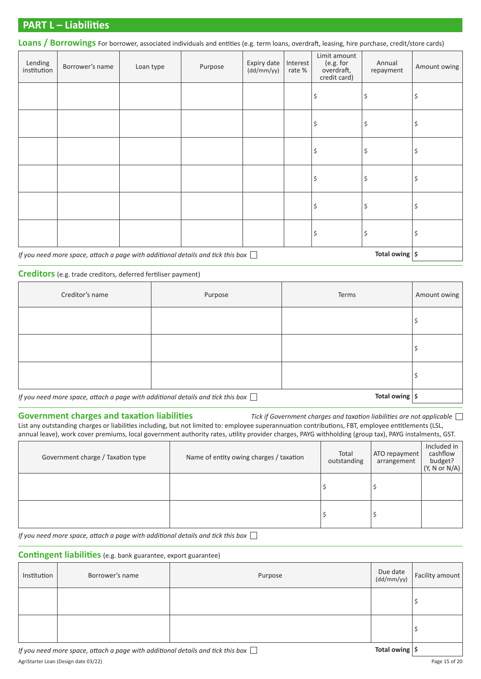#### **PART L – Liabilities**

Loans / Borrowings For borrower, associated individuals and entities (e.g. term loans, overdraft, leasing, hire purchase, credit/store cards)

| Lending<br>institution | Borrower's name | Loan type | Purpose | Expiry date<br>(dd/mm/yy) | Interest<br>rate % | Limit amount<br>(e.g. for<br>overdraft,<br>credit card) | Annual<br>repayment | Amount owing |
|------------------------|-----------------|-----------|---------|---------------------------|--------------------|---------------------------------------------------------|---------------------|--------------|
|                        |                 |           |         |                           |                    | \$                                                      | \$                  | \$           |
|                        |                 |           |         |                           |                    | \$                                                      | \$                  | \$           |
|                        |                 |           |         |                           |                    | \$                                                      | \$                  | \$           |
|                        |                 |           |         |                           |                    | \$                                                      | \$                  | \$           |
|                        |                 |           |         |                           |                    | \$                                                      | \$                  | \$           |
|                        |                 |           |         |                           |                    | \$                                                      | \$                  | \$           |

#### *If you need more space, attach a page with additional details and tick this box*  $\Box$  **The and the absolution of the** *space*  $\vert$ \$

#### **Creditors** (e.g. trade creditors, deferred fertiliser payment)

| Creditor's name                                                                        | Purpose | Terms          | Amount owing |
|----------------------------------------------------------------------------------------|---------|----------------|--------------|
|                                                                                        |         |                |              |
|                                                                                        |         |                |              |
|                                                                                        |         |                |              |
| If you need more space, attach a page with additional details and tick this box $\Box$ |         | Total owing \$ |              |

**Government charges and taxation liabilities** *Tick if Government charges and taxation liabilities are not applicable*  List any outstanding charges or liabilities including, but not limited to: employee superannuation contributions, FBT, employee entitlements (LSL, annual leave), work cover premiums, local government authority rates, utility provider charges, PAYG withholding (group tax), PAYG instalments, GST.

| Government charge / Taxation type | Name of entity owing charges / taxation | Total<br>outstanding | ATO repayment<br>arrangement | Included in<br>cashflow<br>budget?<br>(Y, N or N/A) |
|-----------------------------------|-----------------------------------------|----------------------|------------------------------|-----------------------------------------------------|
|                                   |                                         |                      |                              |                                                     |
|                                   |                                         |                      |                              |                                                     |

*If you need more space, attach a page with additional details and tick this box* 

#### **Contingent liabilities** (e.g. bank guarantee, export guarantee)

| Institution | Borrower's name | Purpose                  | Due date $\begin{bmatrix} \text{Due date} \\ \text{(dd/mm/yy)} \end{bmatrix}$ Facility amount |
|-------------|-----------------|--------------------------|-----------------------------------------------------------------------------------------------|
|             |                 |                          |                                                                                               |
|             |                 |                          |                                                                                               |
|             |                 | $\overline{\phantom{0}}$ | $\mathbf{r}$                                                                                  |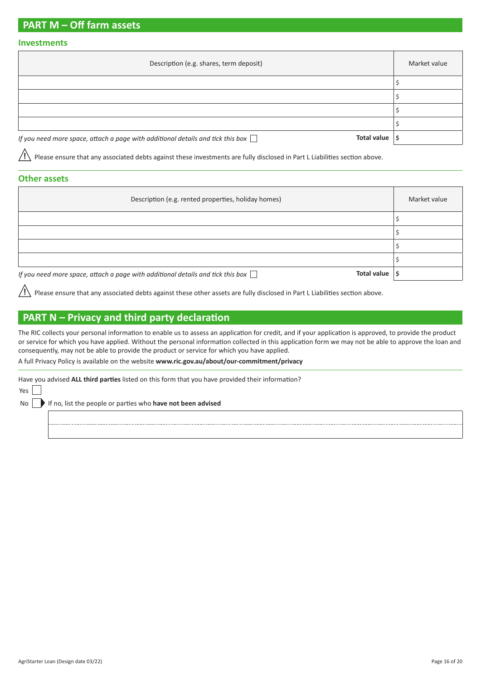#### **PART M – Off farm assets**

#### **Investments**

| Description (e.g. shares, term deposit)                                                               | Market value |
|-------------------------------------------------------------------------------------------------------|--------------|
|                                                                                                       |              |
|                                                                                                       |              |
|                                                                                                       |              |
|                                                                                                       |              |
| Total value<br>If you need more space, attach a page with additional details and tick this box $\Box$ |              |

**!** Please ensure that any associated debts against these investments are fully disclosed in Part L Liabilities section above.

#### **Other assets**

| Description (e.g. rented properties, holiday homes)                                                              | Market value |
|------------------------------------------------------------------------------------------------------------------|--------------|
|                                                                                                                  |              |
|                                                                                                                  |              |
|                                                                                                                  |              |
|                                                                                                                  |              |
| Total value $\vert$ \$<br>If you need more space, attach a page with additional details and tick this box $\Box$ |              |

**!** Please ensure that any associated debts against these other assets are fully disclosed in Part L Liabilities section above.

### **PART N – Privacy and third party declaration**

The RIC collects your personal information to enable us to assess an application for credit, and if your application is approved, to provide the product or service for which you have applied. Without the personal information collected in this application form we may not be able to approve the loan and consequently, may not be able to provide the product or service for which you have applied.

A full Privacy Policy is available on the website **[www.ric.gov.au/about/our-commitment/privacy](http://www.ric.gov.au/about/our-commitment/privacy)**

Have you advised **ALL third parties** listed on this form that you have provided their information?

Yes

No If no, list the people or parties who **have not been advised**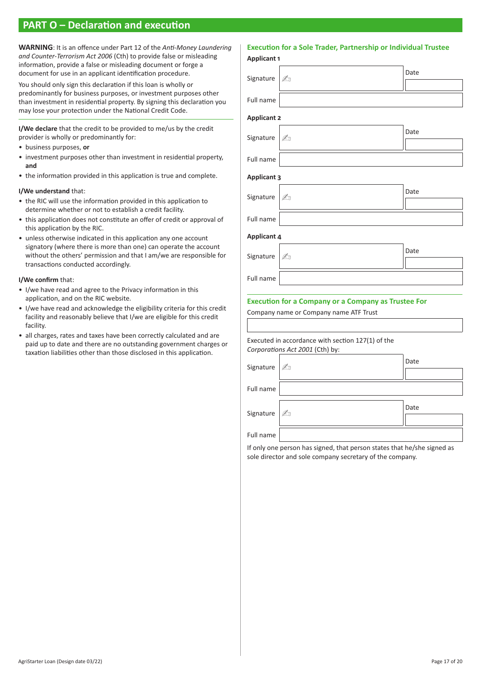#### **PART O – Declaration and execution**

**WARNING**: It is an offence under Part 12 of the *Anti-Money Laundering and Counter-Terrorism Act 2006* (Cth) to provide false or misleading information, provide a false or misleading document or forge a document for use in an applicant identification procedure.

You should only sign this declaration if this loan is wholly or predominantly for business purposes, or investment purposes other than investment in residential property. By signing this declaration you may lose your protection under the National Credit Code.

**I/We declare** that the credit to be provided to me/us by the credit provider is wholly or predominantly for:

- business purposes, **or**
- investment purposes other than investment in residential property, **and**
- the information provided in this application is true and complete.

#### **I/We understand** that:

- the RIC will use the information provided in this application to determine whether or not to establish a credit facility.
- this application does not constitute an offer of credit or approval of this application by the RIC.
- unless otherwise indicated in this application any one account signatory (where there is more than one) can operate the account without the others' permission and that I am/we are responsible for transactions conducted accordingly.

#### **I/We confirm** that:

- I/we have read and agree to the Privacy information in this application, and on the RIC website.
- I/we have read and acknowledge the eligibility criteria for this credit facility and reasonably believe that I/we are eligible for this credit facility.
- all charges, rates and taxes have been correctly calculated and are paid up to date and there are no outstanding government charges or taxation liabilities other than those disclosed in this application.

#### **Execution for a Sole Trader, Partnership or Individual Trustee**

| <b>Applicant 1</b> |                                                                                      |      |
|--------------------|--------------------------------------------------------------------------------------|------|
| Signature          | A                                                                                    | Date |
| Full name          |                                                                                      |      |
| <b>Applicant 2</b> |                                                                                      |      |
| Signature          | Ł                                                                                    | Date |
| Full name          |                                                                                      |      |
| <b>Applicant 3</b> |                                                                                      |      |
| Signature          | Łı                                                                                   | Date |
| Full name          |                                                                                      |      |
| <b>Applicant 4</b> |                                                                                      |      |
| Signature          | A                                                                                    | Date |
| Full name          |                                                                                      |      |
|                    | <b>Execution for a Company or a Company as Trustee For</b>                           |      |
|                    | Company name or Company name ATF Trust                                               |      |
|                    | Executed in accordance with section 127(1) of the<br>Corporations Act 2001 (Cth) by: |      |
| Signature          | Łı                                                                                   | Date |
| Full name          |                                                                                      |      |
| Signature          | A                                                                                    | Date |
| Full name          |                                                                                      |      |

If only one person has signed, that person states that he/she signed as sole director and sole company secretary of the company.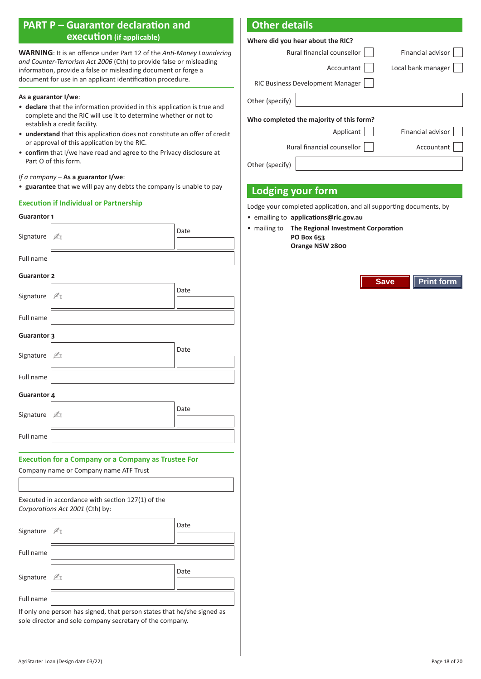#### **PART P – Guarantor declaration and execution (if applicable)**

**WARNING**: It is an offence under Part 12 of the *Anti-Money Laundering and Counter-Terrorism Act 2006* (Cth) to provide false or misleading information, provide a false or misleading document or forge a document for use in an applicant identification procedure.

#### **As a guarantor I/we**:

- **declare** that the information provided in this application is true and complete and the RIC will use it to determine whether or not to establish a credit facility.
- **understand** that this application does not constitute an offer of credit or approval of this application by the RIC.
- **confirm** that I/we have read and agree to the Privacy disclosure at Part O of this form.

#### *If a company* – **As a guarantor I/we**:

• **guarantee** that we will pay any debts the company is unable to pay

#### **Execution if Individual or Partnership**

#### **Guarantor 1**

| Signature                                                                            | ØΠ                                     | Date |  |
|--------------------------------------------------------------------------------------|----------------------------------------|------|--|
|                                                                                      |                                        |      |  |
| Full name                                                                            |                                        |      |  |
| <b>Guarantor 2</b>                                                                   |                                        |      |  |
| Signature                                                                            | $\mathbb{Z}_{\mathbb{Z}}$              | Date |  |
|                                                                                      |                                        |      |  |
| Full name                                                                            |                                        |      |  |
| <b>Guarantor 3</b>                                                                   |                                        |      |  |
| Signature                                                                            | A                                      | Date |  |
|                                                                                      |                                        |      |  |
| Full name                                                                            |                                        |      |  |
| <b>Guarantor 4</b>                                                                   |                                        |      |  |
|                                                                                      |                                        | Date |  |
| Signature                                                                            | Ø.                                     |      |  |
| Full name                                                                            |                                        |      |  |
|                                                                                      |                                        |      |  |
| <b>Execution for a Company or a Company as Trustee For</b>                           |                                        |      |  |
|                                                                                      | Company name or Company name ATF Trust |      |  |
|                                                                                      |                                        |      |  |
| Executed in accordance with section 127(1) of the<br>Corporations Act 2001 (Cth) by: |                                        |      |  |

| Signature 2 |              | Date |
|-------------|--------------|------|
| Full name   |              |      |
| Signature   | $\mathbb{A}$ | Date |
| Full name   |              |      |

If only one person has signed, that person states that he/she signed as sole director and sole company secretary of the company.

#### **Other details**

| Where did you hear about the RIC?        |                                  |                          |  |  |
|------------------------------------------|----------------------------------|--------------------------|--|--|
|                                          | Rural financial counsellor       | <b>Financial advisor</b> |  |  |
|                                          | Accountant                       | Local bank manager       |  |  |
|                                          | RIC Business Development Manager |                          |  |  |
| Other (specify)                          |                                  |                          |  |  |
| Who completed the majority of this form? |                                  |                          |  |  |
|                                          | Applicant                        | <b>Financial advisor</b> |  |  |
|                                          | Rural financial counsellor       | Accountant               |  |  |
| Other (specify)                          |                                  |                          |  |  |

#### **Lodging your form**

Lodge your completed application, and all supporting documents, by

- emailing to **[applications@ric.gov.au](mailto:applications@ric.gov.au)**
- mailing to **The Regional Investment Corporation**

**PO Box 653 Orange NSW 2800**

**Save Print form**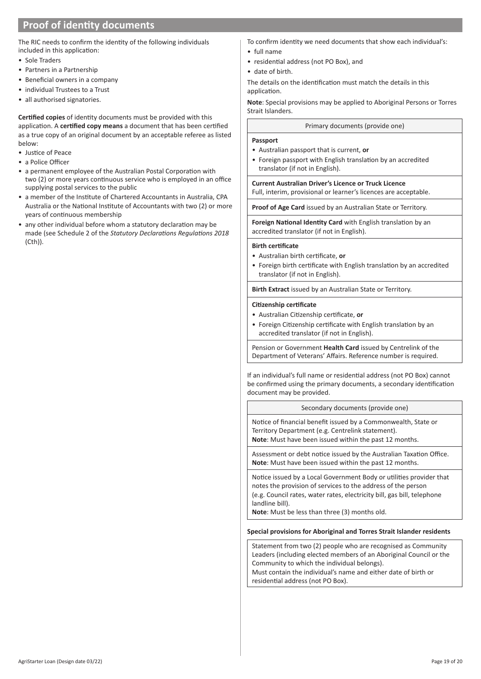#### **Proof of identity documents**

The RIC needs to confirm the identity of the following individuals included in this application:

- Sole Traders
- Partners in a Partnership
- Beneficial owners in a company
- individual Trustees to a Trust
- all authorised signatories.

**Certified copies** of identity documents must be provided with this application. A **certified copy means** a document that has been certified as a true copy of an original document by an acceptable referee as listed below:

- Justice of Peace
- a Police Officer
- a permanent employee of the Australian Postal Corporation with two (2) or more years continuous service who is employed in an office supplying postal services to the public
- a member of the Institute of Chartered Accountants in Australia, CPA Australia or the National Institute of Accountants with two (2) or more years of continuous membership
- any other individual before whom a statutory declaration may be made (see Schedule 2 of the *Statutory Declarations Regulations 2018*  $(Cth)$ ).
- To confirm identity we need documents that show each individual's:
- full name
- residential address (not PO Box), and
- date of birth.

The details on the identification must match the details in this application.

**Note**: Special provisions may be applied to Aboriginal Persons or Torres Strait Islanders.

#### Primary documents (provide one)

#### **Passport**

- Australian passport that is current, **or**
- Foreign passport with English translation by an accredited translator (if not in English).

**Current Australian Driver's Licence or Truck Licence** Full, interim, provisional or learner's licences are acceptable.

**Proof of Age Card** issued by an Australian State or Territory.

**Foreign National Identity Card** with English translation by an accredited translator (if not in English).

#### **Birth certificate**

- Australian birth certificate, **or**
- Foreign birth certificate with English translation by an accredited translator (if not in English).

**Birth Extract** issued by an Australian State or Territory.

#### **Citizenship certificate**

- Australian Citizenship certificate, **or**
- Foreign Citizenship certificate with English translation by an accredited translator (if not in English).

Pension or Government **Health Card** issued by Centrelink of the Department of Veterans' Affairs. Reference number is required.

If an individual's full name or residential address (not PO Box) cannot be confirmed using the primary documents, a secondary identification document may be provided.

Secondary documents (provide one)

Notice of financial benefit issued by a Commonwealth, State or Territory Department (e.g. Centrelink statement). **Note**: Must have been issued within the past 12 months.

Assessment or debt notice issued by the Australian Taxation Office. **Note**: Must have been issued within the past 12 months.

Notice issued by a Local Government Body or utilities provider that notes the provision of services to the address of the person (e.g. Council rates, water rates, electricity bill, gas bill, telephone landline bill).

**Note**: Must be less than three (3) months old.

#### **Special provisions for Aboriginal and Torres Strait Islander residents**

Statement from two (2) people who are recognised as Community Leaders (including elected members of an Aboriginal Council or the Community to which the individual belongs). Must contain the individual's name and either date of birth or residential address (not PO Box).